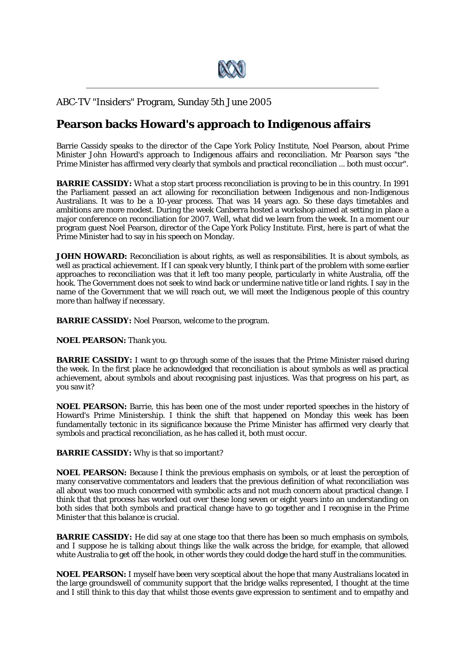

## ABC-TV *"Insiders"* Program, Sunday 5th June 2005

## **Pearson backs Howard's approach to Indigenous affairs**

Barrie Cassidy speaks to the director of the Cape York Policy Institute, Noel Pearson, about Prime Minister John Howard's approach to Indigenous affairs and reconciliation. Mr Pearson says "the Prime Minister has affirmed very clearly that symbols and practical reconciliation ... both must occur".

**BARRIE CASSIDY:** What a stop start process reconciliation is proving to be in this country. In 1991 the Parliament passed an act allowing for reconciliation between Indigenous and non-Indigenous Australians. It was to be a 10-year process. That was 14 years ago. So these days timetables and ambitions are more modest. During the week Canberra hosted a workshop aimed at setting in place a major conference on reconciliation for 2007. Well, what did we learn from the week. In a moment our program guest Noel Pearson, director of the Cape York Policy Institute. First, here is part of what the Prime Minister had to say in his speech on Monday.

**JOHN HOWARD:** Reconciliation is about rights, as well as responsibilities. It is about symbols, as well as practical achievement. If I can speak very bluntly, I think part of the problem with some earlier approaches to reconciliation was that it left too many people, particularly in white Australia, off the hook. The Government does not seek to wind back or undermine native title or land rights. I say in the name of the Government that we will reach out, we will meet the Indigenous people of this country more than halfway if necessary.

**BARRIE CASSIDY:** Noel Pearson, welcome to the program.

**NOEL PEARSON:** Thank you.

**BARRIE CASSIDY:** I want to go through some of the issues that the Prime Minister raised during the week. In the first place he acknowledged that reconciliation is about symbols as well as practical achievement, about symbols and about recognising past injustices. Was that progress on his part, as you saw it?

**NOEL PEARSON:** Barrie, this has been one of the most under reported speeches in the history of Howard's Prime Ministership. I think the shift that happened on Monday this week has been fundamentally tectonic in its significance because the Prime Minister has affirmed very clearly that symbols and practical reconciliation, as he has called it, both must occur.

**BARRIE CASSIDY:** Why is that so important?

**NOEL PEARSON:** Because I think the previous emphasis on symbols, or at least the perception of many conservative commentators and leaders that the previous definition of what reconciliation was all about was too much concerned with symbolic acts and not much concern about practical change. I think that that process has worked out over these long seven or eight years into an understanding on both sides that both symbols and practical change have to go together and I recognise in the Prime Minister that this balance is crucial.

**BARRIE CASSIDY:** He did say at one stage too that there has been so much emphasis on symbols. and I suppose he is talking about things like the walk across the bridge, for example, that allowed white Australia to get off the hook, in other words they could dodge the hard stuff in the communities.

**NOEL PEARSON:** I myself have been very sceptical about the hope that many Australians located in the large groundswell of community support that the bridge walks represented, I thought at the time and I still think to this day that whilst those events gave expression to sentiment and to empathy and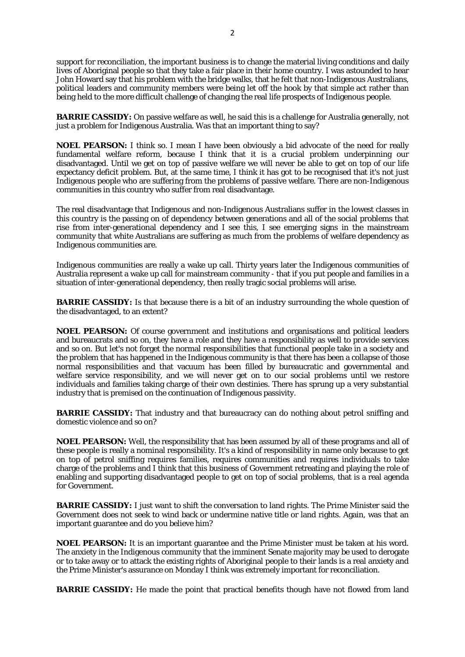support for reconciliation, the important business is to change the material living conditions and daily lives of Aboriginal people so that they take a fair place in their home country. I was astounded to hear John Howard say that his problem with the bridge walks, that he felt that non-Indigenous Australians, political leaders and community members were being let off the hook by that simple act rather than being held to the more difficult challenge of changing the real life prospects of Indigenous people.

**BARRIE CASSIDY:** On passive welfare as well, he said this is a challenge for Australia generally, not just a problem for Indigenous Australia. Was that an important thing to say?

**NOEL PEARSON:** I think so. I mean I have been obviously a bid advocate of the need for really fundamental welfare reform, because I think that it is a crucial problem underpinning our disadvantaged. Until we get on top of passive welfare we will never be able to get on top of our life expectancy deficit problem. But, at the same time, I think it has got to be recognised that it's not just Indigenous people who are suffering from the problems of passive welfare. There are non-Indigenous communities in this country who suffer from real disadvantage.

The real disadvantage that Indigenous and non-Indigenous Australians suffer in the lowest classes in this country is the passing on of dependency between generations and all of the social problems that rise from inter-generational dependency and I see this, I see emerging signs in the mainstream community that white Australians are suffering as much from the problems of welfare dependency as Indigenous communities are.

Indigenous communities are really a wake up call. Thirty years later the Indigenous communities of Australia represent a wake up call for mainstream community - that if you put people and families in a situation of inter-generational dependency, then really tragic social problems will arise.

**BARRIE CASSIDY:** Is that because there is a bit of an industry surrounding the whole question of the disadvantaged, to an extent?

**NOEL PEARSON:** Of course government and institutions and organisations and political leaders and bureaucrats and so on, they have a role and they have a responsibility as well to provide services and so on. But let's not forget the normal responsibilities that functional people take in a society and the problem that has happened in the Indigenous community is that there has been a collapse of those normal responsibilities and that vacuum has been filled by bureaucratic and governmental and welfare service responsibility, and we will never get on to our social problems until we restore individuals and families taking charge of their own destinies. There has sprung up a very substantial industry that is premised on the continuation of Indigenous passivity.

**BARRIE CASSIDY:** That industry and that bureaucracy can do nothing about petrol sniffing and domestic violence and so on?

**NOEL PEARSON:** Well, the responsibility that has been assumed by all of these programs and all of these people is really a nominal responsibility. It's a kind of responsibility in name only because to get on top of petrol sniffing requires families, requires communities and requires individuals to take charge of the problems and I think that this business of Government retreating and playing the role of enabling and supporting disadvantaged people to get on top of social problems, that is a real agenda for Government.

**BARRIE CASSIDY:** I just want to shift the conversation to land rights. The Prime Minister said the Government does not seek to wind back or undermine native title or land rights. Again, was that an important guarantee and do you believe him?

**NOEL PEARSON:** It is an important guarantee and the Prime Minister must be taken at his word. The anxiety in the Indigenous community that the imminent Senate majority may be used to derogate or to take away or to attack the existing rights of Aboriginal people to their lands is a real anxiety and the Prime Minister's assurance on Monday I think was extremely important for reconciliation.

**BARRIE CASSIDY:** He made the point that practical benefits though have not flowed from land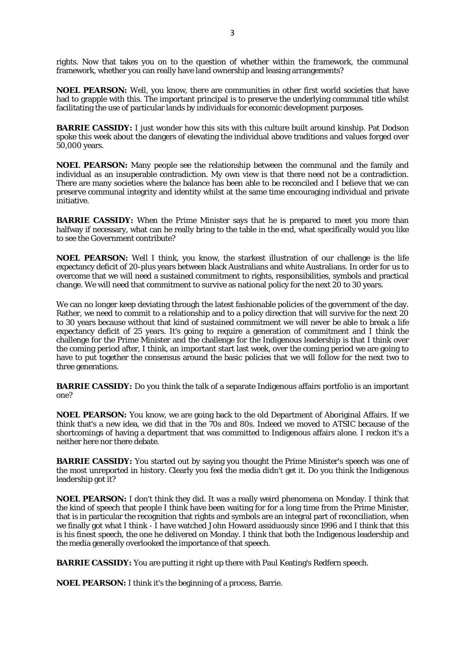rights. Now that takes you on to the question of whether within the framework, the communal framework, whether you can really have land ownership and leasing arrangements?

**NOEL PEARSON:** Well, you know, there are communities in other first world societies that have had to grapple with this. The important principal is to preserve the underlying communal title whilst facilitating the use of particular lands by individuals for economic development purposes.

**BARRIE CASSIDY:** I just wonder how this sits with this culture built around kinship. Pat Dodson spoke this week about the dangers of elevating the individual above traditions and values forged over 50,000 years.

**NOEL PEARSON:** Many people see the relationship between the communal and the family and individual as an insuperable contradiction. My own view is that there need not be a contradiction. There are many societies where the balance has been able to be reconciled and I believe that we can preserve communal integrity and identity whilst at the same time encouraging individual and private initiative.

**BARRIE CASSIDY:** When the Prime Minister says that he is prepared to meet you more than halfway if necessary, what can he really bring to the table in the end, what specifically would you like to see the Government contribute?

**NOEL PEARSON:** Well I think, you know, the starkest illustration of our challenge is the life expectancy deficit of 20-plus years between black Australians and white Australians. In order for us to overcome that we will need a sustained commitment to rights, responsibilities, symbols and practical change. We will need that commitment to survive as national policy for the next 20 to 30 years.

We can no longer keep deviating through the latest fashionable policies of the government of the day. Rather, we need to commit to a relationship and to a policy direction that will survive for the next 20 to 30 years because without that kind of sustained commitment we will never be able to break a life expectancy deficit of 25 years. It's going to require a generation of commitment and I think the challenge for the Prime Minister and the challenge for the Indigenous leadership is that I think over the coming period after, I think, an important start last week, over the coming period we are going to have to put together the consensus around the basic policies that we will follow for the next two to three generations.

**BARRIE CASSIDY:** Do you think the talk of a separate Indigenous affairs portfolio is an important one?

**NOEL PEARSON:** You know, we are going back to the old Department of Aboriginal Affairs. If we think that's a new idea, we did that in the 70s and 80s. Indeed we moved to ATSIC because of the shortcomings of having a department that was committed to Indigenous affairs alone. I reckon it's a neither here nor there debate.

**BARRIE CASSIDY:** You started out by saying you thought the Prime Minister's speech was one of the most unreported in history. Clearly you feel the media didn't get it. Do you think the Indigenous leadership got it?

**NOEL PEARSON:** I don't think they did. It was a really weird phenomena on Monday. I think that the kind of speech that people I think have been waiting for for a long time from the Prime Minister, that is in particular the recognition that rights and symbols are an integral part of reconciliation, when we finally got what I think - I have watched John Howard assiduously since 1996 and I think that this is his finest speech, the one he delivered on Monday. I think that both the Indigenous leadership and the media generally overlooked the importance of that speech.

**BARRIE CASSIDY:** You are putting it right up there with Paul Keating's Redfern speech.

**NOEL PEARSON:** I think it's the beginning of a process, Barrie.